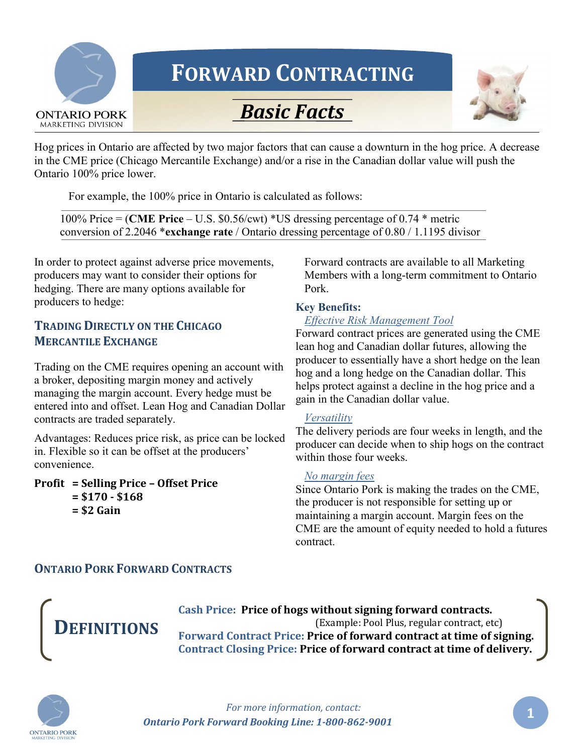

# FORWARD CONTRACTING





Hog prices in Ontario are affected by two major factors that can cause a downturn in the hog price. A decrease in the CME price (Chicago Mercantile Exchange) and/or a rise in the Canadian dollar value will push the Ontario 100% price lower.

For example, the 100% price in Ontario is calculated as follows:

100% Price = (CME Price – U.S. \$0.56/cwt) \*US dressing percentage of 0.74 \* metric conversion of 2.2046 \*exchange rate / Ontario dressing percentage of 0.80 / 1.1195 divisor

In order to protect against adverse price movements, producers may want to consider their options for hedging. There are many options available for producers to hedge:

## TRADING DIRECTLY ON THE CHICAGO MERCANTILE EXCHANGE

Trading on the CME requires opening an account with a broker, depositing margin money and actively managing the margin account. Every hedge must be entered into and offset. Lean Hog and Canadian Dollar contracts are traded separately.

Advantages: Reduces price risk, as price can be locked in. Flexible so it can be offset at the producers' convenience.

Profit = Selling Price – Offset Price  $= $170 - $168$  $=$  \$2 Gain

Forward contracts are available to all Marketing Members with a long-term commitment to Ontario Pork.

### Key Benefits:

### *Effective Risk Management Tool*

Forward contract prices are generated using the CME lean hog and Canadian dollar futures, allowing the producer to essentially have a short hedge on the lean hog and a long hedge on the Canadian dollar. This helps protect against a decline in the hog price and a gain in the Canadian dollar value.

#### *Versatility*

The delivery periods are four weeks in length, and the producer can decide when to ship hogs on the contract within those four weeks.

#### *No margin fees*

Since Ontario Pork is making the trades on the CME, the producer is not responsible for setting up or maintaining a margin account. Margin fees on the CME are the amount of equity needed to hold a futures contract.

### ONTARIO PORK FORWARD CONTRACTS



Cash Price: Price of hogs without signing forward contracts. (Example: Pool Plus, regular contract, etc) Forward Contract Price: Price of forward contract at time of signing. Contract Closing Price: Price of forward contract at time of delivery.

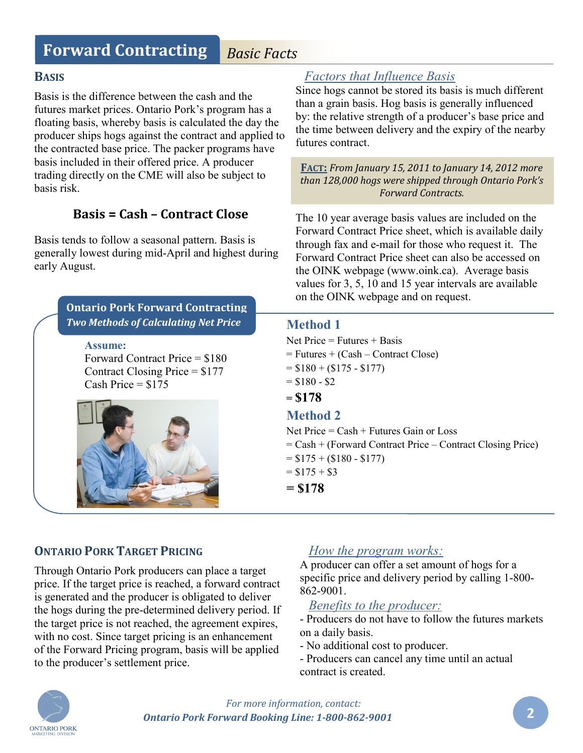# Forward Contracting *Basic Facts*

### BASIS

Basis is the difference between the cash and the futures market prices. Ontario Pork's program has a floating basis, whereby basis is calculated the day the producer ships hogs against the contract and applied to the contracted base price. The packer programs have basis included in their offered price. A producer trading directly on the CME will also be subject to basis risk.

# Basis = Cash – Contract Close

Basis tends to follow a seasonal pattern. Basis is generally lowest during mid-April and highest during early August.

# Assume: Forward Contract Price = \$180 Contract Closing Price = \$177 Cash Price =  $$175$ Ontario Pork Forward Contracting *Two Methods of Calculating Net Price*



# *Factors that Influence Basis*

Since hogs cannot be stored its basis is much different than a grain basis. Hog basis is generally influenced by: the relative strength of a producer's base price and the time between delivery and the expiry of the nearby futures contract.

FACT: *From January 15, 2011 to January 14, 2012 more than 128,000 hogs were shipped through Ontario Pork's Forward Contracts.*

The 10 year average basis values are included on the Forward Contract Price sheet, which is available daily through fax and e-mail for those who request it. The Forward Contract Price sheet can also be accessed on the OINK webpage (www.oink.ca). Average basis values for 3, 5, 10 and 15 year intervals are available on the OINK webpage and on request.

## Method 1

Net Price  $=$  Futures  $+$  Basis  $=$  Futures  $+$  (Cash – Contract Close)  $= $180 + ($175 - $177)$  $= $180 - $2$  $= $178$ Method 2 Net Price = Cash + Futures Gain or Loss = Cash + (Forward Contract Price – Contract Closing Price)  $= $175 + ( $180 - $177)$  $= $175 + $3$  $= $178$ 

# ONTARIO PORK TARGET PRICING

Through Ontario Pork producers can place a target price. If the target price is reached, a forward contract is generated and the producer is obligated to deliver the hogs during the pre-determined delivery period. If the target price is not reached, the agreement expires, with no cost. Since target pricing is an enhancement of the Forward Pricing program, basis will be applied to the producer's settlement price.

# *How the program works:*

A producer can offer a set amount of hogs for a specific price and delivery period by calling 1-800- 862-9001.

## *Benefits to the producer:*

- Producers do not have to follow the futures markets on a daily basis.

- No additional cost to producer.

- Producers can cancel any time until an actual contract is created.

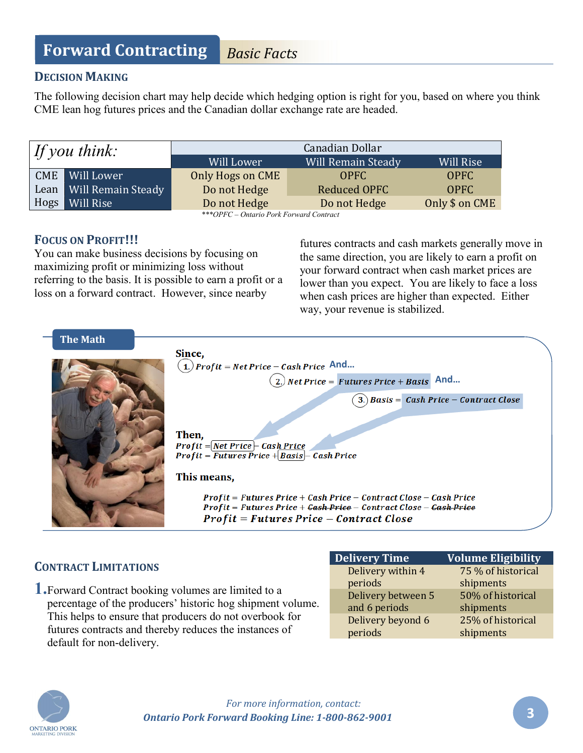# Forward Contracting *Basic Facts*

## DECISION MAKING

The following decision chart may help decide which hedging option is right for you, based on where you think CME lean hog futures prices and the Canadian dollar exchange rate are headed.

| If you think: |                    | Canadian Dollar  |                    |                |
|---------------|--------------------|------------------|--------------------|----------------|
|               |                    | Will Lower       | Will Remain Steady | Will Rise      |
| <b>CME</b>    | Will Lower         | Only Hogs on CME | OPFC               | <b>OPFC</b>    |
| Lean          | Will Remain Steady | Do not Hedge     | Reduced OPFC       | <b>OPFC</b>    |
| Hogs          | Will Rise          | Do not Hedge     | Do not Hedge       | Only \$ on CME |

*\*\*\*OPFC – Ontario Pork Forward Contract*

# FOCUS ON PROFIT!!!

You can make business decisions by focusing on maximizing profit or minimizing loss without referring to the basis. It is possible to earn a profit or a loss on a forward contract. However, since nearby

futures contracts and cash markets generally move in the same direction, you are likely to earn a profit on your forward contract when cash market prices are lower than you expect. You are likely to face a loss when cash prices are higher than expected. Either way, your revenue is stabilized.



# CONTRACT LIMITATIONS

1.Forward Contract booking volumes are limited to a percentage of the producers' historic hog shipment volume. This helps to ensure that producers do not overbook for futures contracts and thereby reduces the instances of default for non-delivery.

| <b>Delivery Time</b> | <b>Volume Eligibility</b> |
|----------------------|---------------------------|
| Delivery within 4    | 75 % of historical        |
| periods              | shipments                 |
| Delivery between 5   | 50% of historical         |
| and 6 periods        | shipments                 |
| Delivery beyond 6    | 25% of historical         |
| periods              | shipments                 |